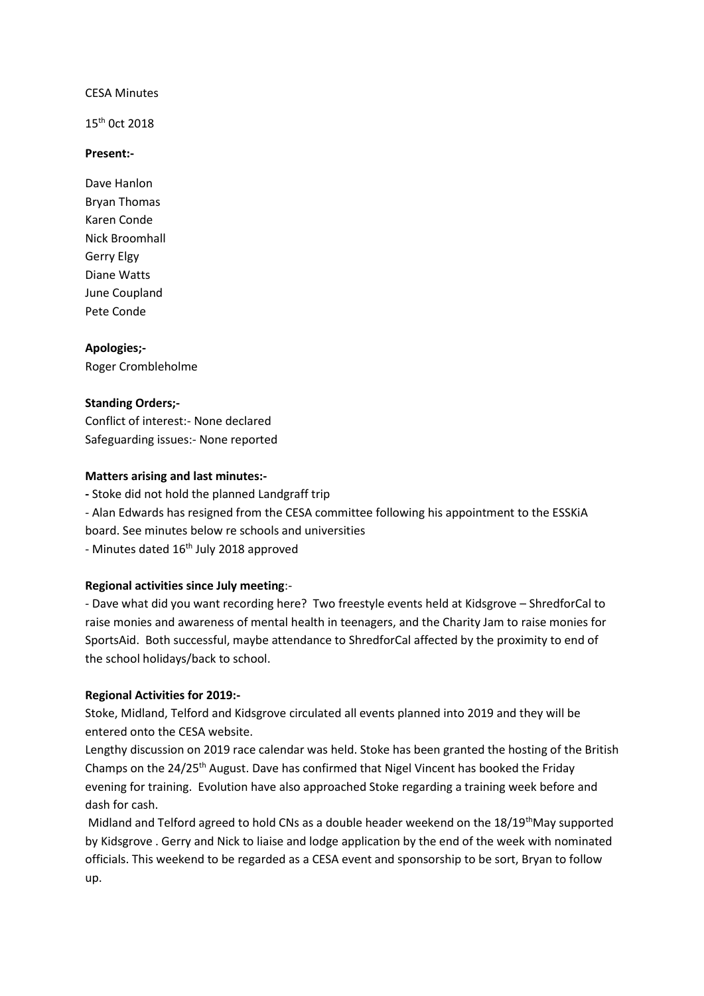#### CESA Minutes

15<sup>th</sup> 0ct 2018

#### **Present:-**

Dave Hanlon Bryan Thomas Karen Conde Nick Broomhall Gerry Elgy Diane Watts June Coupland Pete Conde

**Apologies;-**

Roger Crombleholme

## **Standing Orders;-**

Conflict of interest:- None declared Safeguarding issues:- None reported

## **Matters arising and last minutes:-**

**-** Stoke did not hold the planned Landgraff trip

- Alan Edwards has resigned from the CESA committee following his appointment to the ESSKiA board. See minutes below re schools and universities

- Minutes dated 16<sup>th</sup> July 2018 approved

# **Regional activities since July meeting**:-

- Dave what did you want recording here? Two freestyle events held at Kidsgrove – ShredforCal to raise monies and awareness of mental health in teenagers, and the Charity Jam to raise monies for SportsAid. Both successful, maybe attendance to ShredforCal affected by the proximity to end of the school holidays/back to school.

#### **Regional Activities for 2019:-**

Stoke, Midland, Telford and Kidsgrove circulated all events planned into 2019 and they will be entered onto the CESA website.

Lengthy discussion on 2019 race calendar was held. Stoke has been granted the hosting of the British Champs on the 24/25<sup>th</sup> August. Dave has confirmed that Nigel Vincent has booked the Friday evening for training. Evolution have also approached Stoke regarding a training week before and dash for cash.

Midland and Telford agreed to hold CNs as a double header weekend on the  $18/19<sup>th</sup>M$ ay supported by Kidsgrove . Gerry and Nick to liaise and lodge application by the end of the week with nominated officials. This weekend to be regarded as a CESA event and sponsorship to be sort, Bryan to follow up.